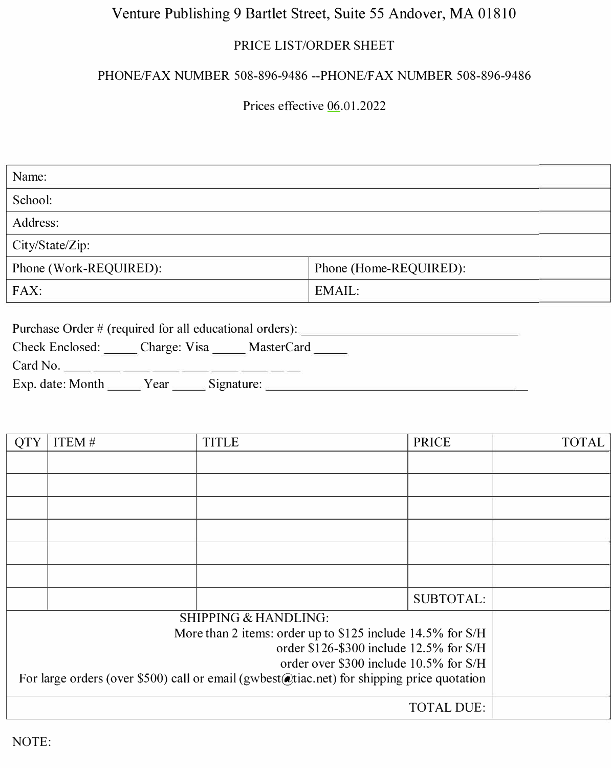## Venture Publishing 9 Bartlet Street, Suite 55 Andover, MA 01810

## PRICE LIST/ORDER SHEET

## PHONE/FAX NUMBER 508-896-9486 --PHONE/FAX NUMBER 508-896-9486

Prices effective 06.01.2022

| Name:                                                                                                          |                        |  |
|----------------------------------------------------------------------------------------------------------------|------------------------|--|
| School:                                                                                                        |                        |  |
| Address:                                                                                                       |                        |  |
| City/State/Zip:                                                                                                |                        |  |
| Phone (Work-REQUIRED):                                                                                         | Phone (Home-REQUIRED): |  |
| FAX:                                                                                                           | EMAIL:                 |  |
| Purchase Order # (required for all educational orders):<br>Check Enclosed: Charge: Visa MasterCard<br>Card No. |                        |  |

| Exp. date: Month | ear |  |  |
|------------------|-----|--|--|
|------------------|-----|--|--|

| <b>OTY</b>                                                                                 | ITEM# | <b>TITLE</b> | <b>PRICE</b>     | <b>TOTAL</b> |
|--------------------------------------------------------------------------------------------|-------|--------------|------------------|--------------|
|                                                                                            |       |              |                  |              |
|                                                                                            |       |              |                  |              |
|                                                                                            |       |              |                  |              |
|                                                                                            |       |              |                  |              |
|                                                                                            |       |              |                  |              |
|                                                                                            |       |              |                  |              |
|                                                                                            |       |              | <b>SUBTOTAL:</b> |              |
| <b>SHIPPING &amp; HANDLING:</b>                                                            |       |              |                  |              |
| More than 2 items: order up to \$125 include 14.5% for S/H                                 |       |              |                  |              |
| order \$126-\$300 include 12.5% for S/H                                                    |       |              |                  |              |
| order over \$300 include 10.5% for S/H                                                     |       |              |                  |              |
| For large orders (over \$500) call or email (gwbest@tiac.net) for shipping price quotation |       |              |                  |              |
| <b>TOTAL DUE:</b>                                                                          |       |              |                  |              |